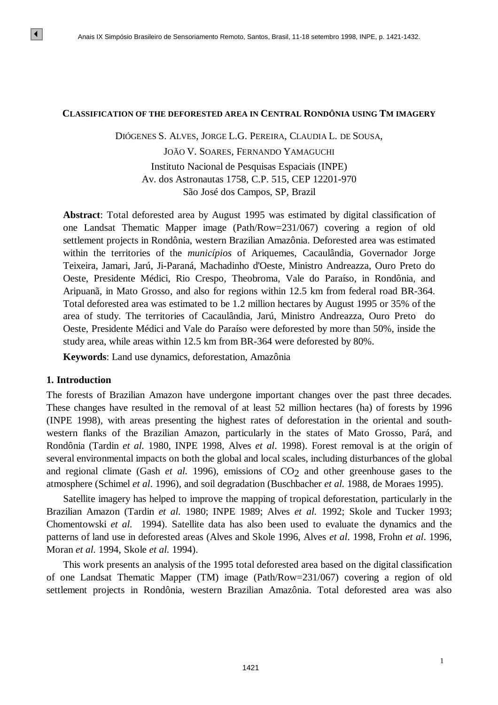#### **CLASSIFICATION OF THE DEFORESTED AREA IN CENTRAL RONDÔNIA USING TM IMAGERY**

DIÓGENES S. ALVES, JORGE L.G. PEREIRA, CLAUDIA L. DE SOUSA,

JOÃO V. SOARES, FERNANDO YAMAGUCHI Instituto Nacional de Pesquisas Espaciais (INPE) Av. dos Astronautas 1758, C.P. 515, CEP 12201-970 São José dos Campos, SP, Brazil

**Abstract**: Total deforested area by August 1995 was estimated by digital classification of one Landsat Thematic Mapper image (Path/Row=231/067) covering a region of old settlement projects in Rondônia, western Brazilian Amazônia. Deforested area was estimated within the territories of the *municípios* of Ariquemes, Cacaulândia, Governador Jorge Teixeira, Jamari, Jarú, Ji-Paraná, Machadinho d'Oeste, Ministro Andreazza, Ouro Preto do Oeste, Presidente Médici, Rio Crespo, Theobroma, Vale do Paraíso, in Rondônia, and Aripuanã, in Mato Grosso, and also for regions within 12.5 km from federal road BR-364. Total deforested area was estimated to be 1.2 million hectares by August 1995 or 35% of the area of study. The territories of Cacaulândia, Jarú, Ministro Andreazza, Ouro Preto do Oeste, Presidente Médici and Vale do Paraíso were deforested by more than 50%, inside the study area, while areas within 12.5 km from BR-364 were deforested by 80%.

**Keywords**: Land use dynamics, deforestation, Amazônia

#### **1. Introduction**

The forests of Brazilian Amazon have undergone important changes over the past three decades. These changes have resulted in the removal of at least 52 million hectares (ha) of forests by 1996 (INPE 1998), with areas presenting the highest rates of deforestation in the oriental and southwestern flanks of the Brazilian Amazon, particularly in the states of Mato Grosso, Pará, and Rondônia (Tardin *et al.* 1980, INPE 1998, Alves *et al*. 1998). Forest removal is at the origin of several environmental impacts on both the global and local scales, including disturbances of the global and regional climate (Gash  $et$   $al.$  1996), emissions of  $CO<sub>2</sub>$  and other greenhouse gases to the atmosphere (Schimel *et al*. 1996), and soil degradation (Buschbacher *et al.* 1988, de Moraes 1995).

Satellite imagery has helped to improve the mapping of tropical deforestation, particularly in the Brazilian Amazon (Tardin *et al.* 1980; INPE 1989; Alves *et al.* 1992; Skole and Tucker 1993; Chomentowski *et al.* 1994). Satellite data has also been used to evaluate the dynamics and the patterns of land use in deforested areas (Alves and Skole 1996, Alves *et al*. 1998, Frohn *et al*. 1996, Moran *et al.* 1994, Skole *et al.* 1994).

This work presents an analysis of the 1995 total deforested area based on the digital classification of one Landsat Thematic Mapper (TM) image (Path/Row=231/067) covering a region of old settlement projects in Rondônia, western Brazilian Amazônia. Total deforested area was also

1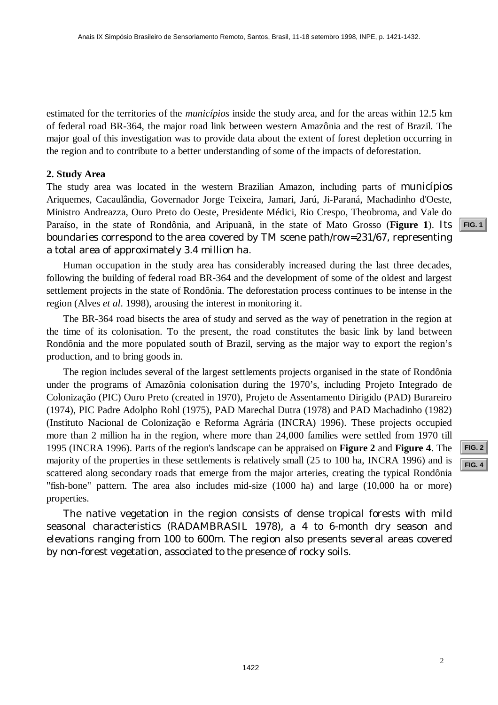estimated for the territories of the *municípios* inside the study area, and for the areas within 12.5 km of federal road BR-364, the major road link between western Amazônia and the rest of Brazil. The major goal of this investigation was to provide data about the extent of forest depletion occurring in the region and to contribute to a better understanding of some of the impacts of deforestation.

## **2. Study Area**

The study area was located in the western Brazilian Amazon, including parts of *municípios* Ariquemes, Cacaulândia, Governador Jorge Teixeira, Jamari, Jarú, Ji-Paraná, Machadinho d'Oeste, Ministro Andreazza, Ouro Preto do Oeste, Presidente Médici, Rio Crespo, Theobroma, and Vale do Paraíso, in the state of Rondônia, and Aripuanã, in the state of Mato Grosso (**Figure 1**). Its boundaries correspond to the area covered by TM scene path/row=231/67, representing a total area of approximately 3.4 million ha.

Human occupation in the study area has considerably increased during the last three decades, following the building of federal road BR-364 and the development of some of the oldest and largest settlement projects in the state of Rondônia. The deforestation process continues to be intense in the region (Alves *et al*. 1998), arousing the interest in monitoring it.

The BR-364 road bisects the area of study and served as the way of penetration in the region at the time of its colonisation. To the present, the road constitutes the basic link by land between Rondônia and the more populated south of Brazil, serving as the major way to export the region's production, and to bring goods in.

The region includes several of the largest settlements projects organised in the state of Rondônia under the programs of Amazônia colonisation during the 1970's, including Projeto Integrado de Colonização (PIC) Ouro Preto (created in 1970), Projeto de Assentamento Dirigido (PAD) Burareiro (1974), PIC Padre Adolpho Rohl (1975), PAD Marechal Dutra (1978) and PAD Machadinho (1982) (Instituto Nacional de Colonização e Reforma Agrária (INCRA) 1996). These projects occupied more than 2 million ha in the region, where more than 24,000 families were settled from 1970 till 1995 (INCRA 1996). Parts of the region's landscape can be appraised on **Figure 2** and **Figure 4**. The majority of the properties in these settlements is relatively small (25 to 100 ha, INCRA 1996) and is scattered along secondary roads that emerge from the major arteries, creating the typical Rondônia "fish-bone" pattern. The area also includes mid-size (1000 ha) and large (10,000 ha or more) properties.

The native vegetation in the region consists of dense tropical forests with mild seasonal characteristics (RADAMBRASIL 1978), a 4 to 6-month dry season and elevations ranging from 100 to 600m. The region also presents several areas covered by non-forest vegetation, associated to the presence of rocky soils.

**[FIG. 2](#page-9-0) [FIG. 4](#page-11-0)**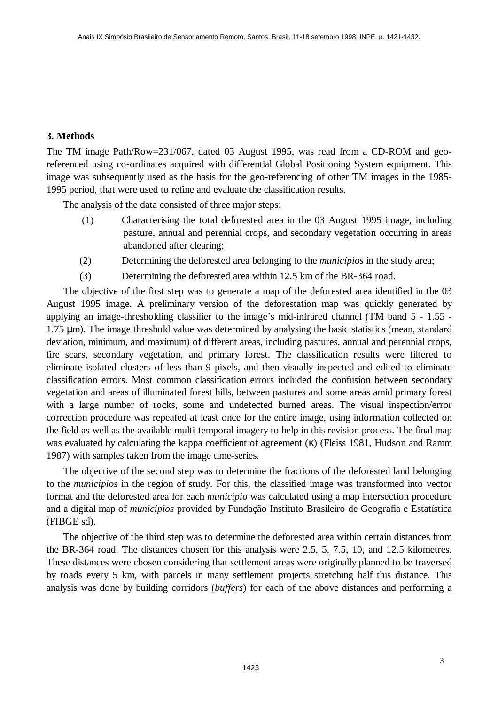# **3. Methods**

The TM image Path/Row=231/067, dated 03 August 1995, was read from a CD-ROM and georeferenced using co-ordinates acquired with differential Global Positioning System equipment. This image was subsequently used as the basis for the geo-referencing of other TM images in the 1985- 1995 period, that were used to refine and evaluate the classification results.

The analysis of the data consisted of three major steps:

- (1) Characterising the total deforested area in the 03 August 1995 image, including pasture, annual and perennial crops, and secondary vegetation occurring in areas abandoned after clearing;
- (2) Determining the deforested area belonging to the *municípios* in the study area;
- (3) Determining the deforested area within 12.5 km of the BR-364 road.

The objective of the first step was to generate a map of the deforested area identified in the 03 August 1995 image. A preliminary version of the deforestation map was quickly generated by applying an image-thresholding classifier to the image's mid-infrared channel (TM band 5 - 1.55 - 1.75 μm). The image threshold value was determined by analysing the basic statistics (mean, standard deviation, minimum, and maximum) of different areas, including pastures, annual and perennial crops, fire scars, secondary vegetation, and primary forest. The classification results were filtered to eliminate isolated clusters of less than 9 pixels, and then visually inspected and edited to eliminate classification errors. Most common classification errors included the confusion between secondary vegetation and areas of illuminated forest hills, between pastures and some areas amid primary forest with a large number of rocks, some and undetected burned areas. The visual inspection/error correction procedure was repeated at least once for the entire image, using information collected on the field as well as the available multi-temporal imagery to help in this revision process. The final map was evaluated by calculating the kappa coefficient of agreement (κ) (Fleiss 1981, Hudson and Ramm 1987) with samples taken from the image time-series.

The objective of the second step was to determine the fractions of the deforested land belonging to the *municípios* in the region of study. For this, the classified image was transformed into vector format and the deforested area for each *município* was calculated using a map intersection procedure and a digital map of *municípios* provided by Fundação Instituto Brasileiro de Geografia e Estatística (FIBGE sd).

The objective of the third step was to determine the deforested area within certain distances from the BR-364 road. The distances chosen for this analysis were 2.5, 5, 7.5, 10, and 12.5 kilometres. These distances were chosen considering that settlement areas were originally planned to be traversed by roads every 5 km, with parcels in many settlement projects stretching half this distance. This analysis was done by building corridors (*buffers*) for each of the above distances and performing a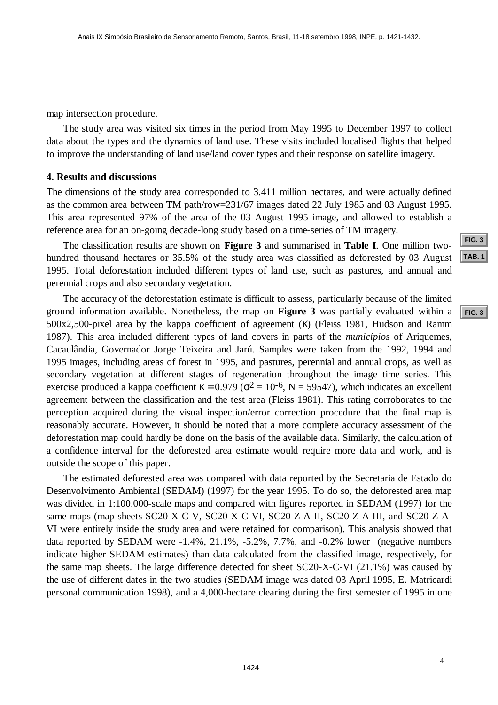map intersection procedure.

The study area was visited six times in the period from May 1995 to December 1997 to collect data about the types and the dynamics of land use. These visits included localised flights that helped to improve the understanding of land use/land cover types and their response on satellite imagery.

### **4. Results and discussions**

The dimensions of the study area corresponded to 3.411 million hectares, and were actually defined as the common area between TM path/row=231/67 images dated 22 July 1985 and 03 August 1995. This area represented 97% of the area of the 03 August 1995 image, and allowed to establish a reference area for an on-going decade-long study based on a time-series of TM imagery.

The classification results are shown on **Figure 3** and summarised in **Table I**. One million twohundred thousand hectares or 35.5% of the study area was classified as deforested by 03 August 1995. Total deforestation included different types of land use, such as pastures, and annual and perennial crops and also secondary vegetation.

The accuracy of the deforestation estimate is difficult to assess, particularly because of the limited ground information available. Nonetheless, the map on **Figure 3** was partially evaluated within a 500x2,500-pixel area by the kappa coefficient of agreement (κ) (Fleiss 1981, Hudson and Ramm 1987). This area included different types of land covers in parts of the *municípios* of Ariquemes, Cacaulândia, Governador Jorge Teixeira and Jarú. Samples were taken from the 1992, 1994 and 1995 images, including areas of forest in 1995, and pastures, perennial and annual crops, as well as secondary vegetation at different stages of regeneration throughout the image time series. This exercise produced a kappa coefficient  $\kappa = 0.979$  ( $\sigma^2 = 10^{-6}$ , N = 59547), which indicates an excellent agreement between the classification and the test area (Fleiss 1981). This rating corroborates to the perception acquired during the visual inspection/error correction procedure that the final map is reasonably accurate. However, it should be noted that a more complete accuracy assessment of the deforestation map could hardly be done on the basis of the available data. Similarly, the calculation of a confidence interval for the deforested area estimate would require more data and work, and is outside the scope of this paper.

The estimated deforested area was compared with data reported by the Secretaria de Estado do Desenvolvimento Ambiental (SEDAM) (1997) for the year 1995. To do so, the deforested area map was divided in 1:100.000-scale maps and compared with figures reported in SEDAM (1997) for the same maps (map sheets SC20-X-C-V, SC20-X-C-VI, SC20-Z-A-II, SC20-Z-A-III, and SC20-Z-A-VI were entirely inside the study area and were retained for comparison). This analysis showed that data reported by SEDAM were -1.4%, 21.1%, -5.2%, 7.7%, and -0.2% lower (negative numbers indicate higher SEDAM estimates) than data calculated from the classified image, respectively, for the same map sheets. The large difference detected for sheet SC20-X-C-VI (21.1%) was caused by the use of different dates in the two studies (SEDAM image was dated 03 April 1995, E. Matricardi personal communication 1998), and a 4,000-hectare clearing during the first semester of 1995 in one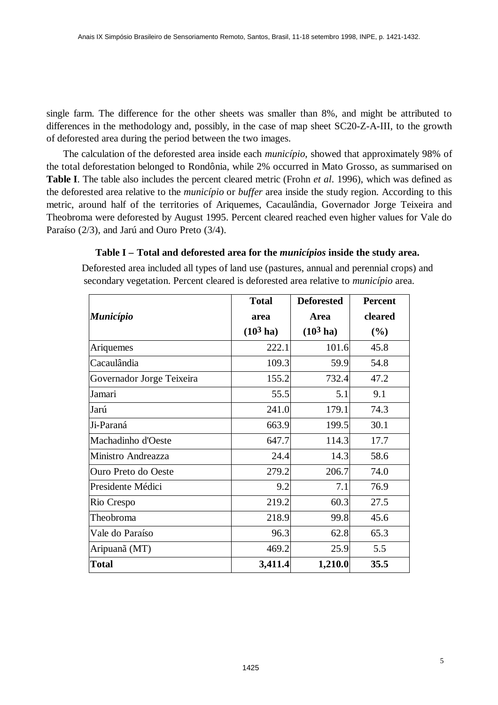<span id="page-4-0"></span>single farm. The difference for the other sheets was smaller than 8%, and might be attributed to differences in the methodology and, possibly, in the case of map sheet SC20-Z-A-III, to the growth of deforested area during the period between the two images.

The calculation of the deforested area inside each *município*, showed that approximately 98% of the total deforestation belonged to Rondônia, while 2% occurred in Mato Grosso, as summarised on **Table I**. The table also includes the percent cleared metric (Frohn *et al*. 1996), which was defined as the deforested area relative to the *município* or *buffer* area inside the study region. According to this metric, around half of the territories of Ariquemes, Cacaulândia, Governador Jorge Teixeira and Theobroma were deforested by August 1995. Percent cleared reached even higher values for Vale do Paraíso (2/3), and Jarú and Ouro Preto (3/4).

# **Table I – Total and deforested area for the** *municípios* **inside the study area.**

Deforested area included all types of land use (pastures, annual and perennial crops) and secondary vegetation. Percent cleared is deforested area relative to *município* area.

|                           | <b>Total</b>        | <b>Deforested</b>   | <b>Percent</b> |
|---------------------------|---------------------|---------------------|----------------|
| <b>Município</b>          | area                | Area                | cleared        |
|                           | $(10^3 \text{ ha})$ | $(10^3 \text{ ha})$ | (%)            |
| Ariquemes                 | 222.1               | 101.6               | 45.8           |
| Cacaulândia               | 109.3               | 59.9                | 54.8           |
| Governador Jorge Teixeira | 155.2               | 732.4               | 47.2           |
| Jamari                    | 55.5                | 5.1                 | 9.1            |
| Jarú                      | 241.0               | 179.1               | 74.3           |
| Ji-Paraná                 | 663.9               | 199.5               | 30.1           |
| Machadinho d'Oeste        | 647.7               | 114.3               | 17.7           |
| Ministro Andreazza        | 24.4                | 14.3                | 58.6           |
| Ouro Preto do Oeste       | 279.2               | 206.7               | 74.0           |
| Presidente Médici         | 9.2                 | 7.1                 | 76.9           |
| Rio Crespo                | 219.2               | 60.3                | 27.5           |
| Theobroma                 | 218.9               | 99.8                | 45.6           |
| Vale do Paraíso           | 96.3                | 62.8                | 65.3           |
| Aripuanã (MT)             | 469.2               | 25.9                | 5.5            |
| <b>Total</b>              | 3,411.4             | 1,210.0             | 35.5           |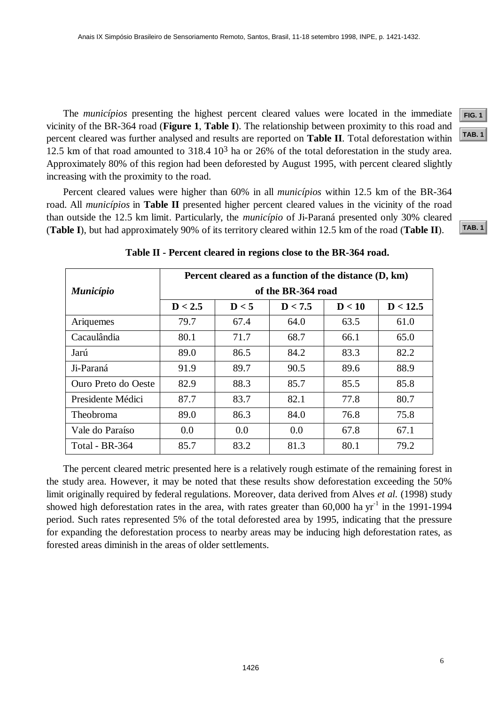The *municípios* presenting the highest percent cleared values were located in the immediate vicinity of the BR-364 road (**Figure 1**, **Table I**). The relationship between proximity to this road and percent cleared was further analysed and results are reported on **Table II**. Total deforestation within 12.5 km of that road amounted to  $318.4 \times 10^3$  ha or 26% of the total deforestation in the study area. Approximately 80% of this region had been deforested by August 1995, with percent cleared slightly increasing with the proximity to the road.

Percent cleared values were higher than 60% in all *municípios* within 12.5 km of the BR-364 road. All *municípios* in **Table II** presented higher percent cleared values in the vicinity of the road than outside the 12.5 km limit. Particularly, the *município* of Ji-Paraná presented only 30% cleared (**Table I**), but had approximately 90% of its territory cleared within 12.5 km of the road (**Table II**).

|                     | Percent cleared as a function of the distance (D, km) |       |         |        |          |  |
|---------------------|-------------------------------------------------------|-------|---------|--------|----------|--|
| <b>Município</b>    | of the BR-364 road                                    |       |         |        |          |  |
|                     | D < 2.5                                               | D < 5 | D < 7.5 | D < 10 | D < 12.5 |  |
| Ariquemes           | 79.7                                                  | 67.4  | 64.0    | 63.5   | 61.0     |  |
| Cacaulândia         | 80.1                                                  | 71.7  | 68.7    | 66.1   | 65.0     |  |
| Jarú                | 89.0                                                  | 86.5  | 84.2    | 83.3   | 82.2     |  |
| Ji-Paraná           | 91.9                                                  | 89.7  | 90.5    | 89.6   | 88.9     |  |
| Ouro Preto do Oeste | 82.9                                                  | 88.3  | 85.7    | 85.5   | 85.8     |  |
| Presidente Médici   | 87.7                                                  | 83.7  | 82.1    | 77.8   | 80.7     |  |
| Theobroma           | 89.0                                                  | 86.3  | 84.0    | 76.8   | 75.8     |  |
| Vale do Paraíso     | 0.0                                                   | 0.0   | 0.0     | 67.8   | 67.1     |  |
| Total - BR-364      | 85.7                                                  | 83.2  | 81.3    | 80.1   | 79.2     |  |

**Table II - Percent cleared in regions close to the BR-364 road.**

The percent cleared metric presented here is a relatively rough estimate of the remaining forest in the study area. However, it may be noted that these results show deforestation exceeding the 50% limit originally required by federal regulations. Moreover, data derived from Alves *et al.* (1998) study showed high deforestation rates in the area, with rates greater than  $60,000$  ha yr<sup>-1</sup> in the 1991-1994 period. Such rates represented 5% of the total deforested area by 1995, indicating that the pressure for expanding the deforestation process to nearby areas may be inducing high deforestation rates, as forested areas diminish in the areas of older settlements.

**[FIG. 1](#page-8-0) [TAB. 1](#page-4-0)**

**[TAB. 1](#page-4-0)**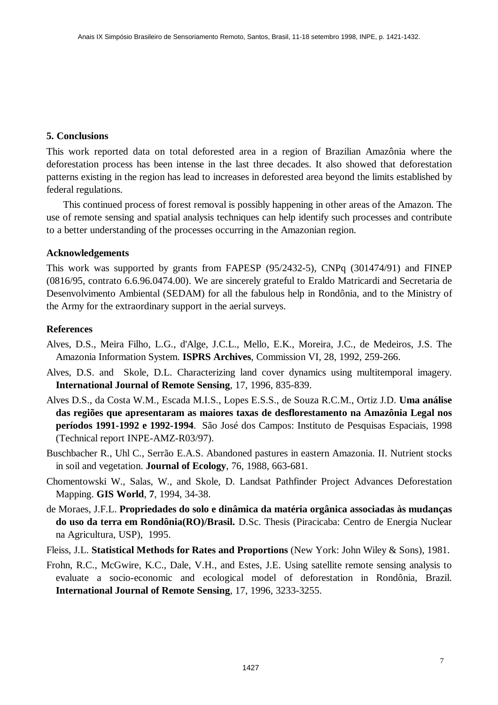## **5. Conclusions**

This work reported data on total deforested area in a region of Brazilian Amazônia where the deforestation process has been intense in the last three decades. It also showed that deforestation patterns existing in the region has lead to increases in deforested area beyond the limits established by federal regulations.

This continued process of forest removal is possibly happening in other areas of the Amazon. The use of remote sensing and spatial analysis techniques can help identify such processes and contribute to a better understanding of the processes occurring in the Amazonian region.

## **Acknowledgements**

This work was supported by grants from FAPESP (95/2432-5), CNPq (301474/91) and FINEP (0816/95, contrato 6.6.96.0474.00). We are sincerely grateful to Eraldo Matricardi and Secretaria de Desenvolvimento Ambiental (SEDAM) for all the fabulous help in Rondônia, and to the Ministry of the Army for the extraordinary support in the aerial surveys.

## **References**

- Alves, D.S., Meira Filho, L.G., d'Alge, J.C.L., Mello, E.K., Moreira, J.C., de Medeiros, J.S. The Amazonia Information System. **ISPRS Archives**, Commission VI, 28, 1992, 259-266.
- Alves, D.S. and Skole, D.L. Characterizing land cover dynamics using multitemporal imagery. **International Journal of Remote Sensing**, 17, 1996, 835-839.
- Alves D.S., da Costa W.M., Escada M.I.S., Lopes E.S.S., de Souza R.C.M., Ortiz J.D. **Uma análise das regiões que apresentaram as maiores taxas de desflorestamento na Amazônia Legal nos períodos 1991-1992 e 1992-1994**. São José dos Campos: Instituto de Pesquisas Espaciais, 1998 (Technical report INPE-AMZ-R03/97).
- Buschbacher R., Uhl C., Serrão E.A.S. Abandoned pastures in eastern Amazonia. II. Nutrient stocks in soil and vegetation. **Journal of Ecology**, 76, 1988, 663-681.
- Chomentowski W., Salas, W., and Skole, D. Landsat Pathfinder Project Advances Deforestation Mapping. **GIS World**, **7**, 1994, 34-38.
- de Moraes, J.F.L. **Propriedades do solo e dinâmica da matéria orgânica associadas às mudanças do uso da terra em Rondônia(RO)/Brasil.** D.Sc. Thesis (Piracicaba: Centro de Energia Nuclear na Agricultura, USP), 1995.
- Fleiss, J.L. **Statistical Methods for Rates and Proportions** (New York: John Wiley & Sons), 1981.
- Frohn, R.C., McGwire, K.C., Dale, V.H., and Estes, J.E. Using satellite remote sensing analysis to evaluate a socio-economic and ecological model of deforestation in Rondônia, Brazil. **International Journal of Remote Sensing**, 17, 1996, 3233-3255.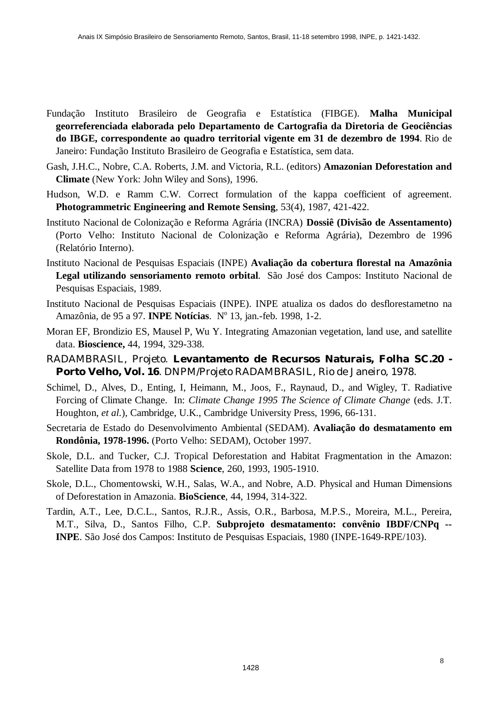- Fundação Instituto Brasileiro de Geografia e Estatística (FIBGE). **Malha Municipal georreferenciada elaborada pelo Departamento de Cartografia da Diretoria de Geociências do IBGE, correspondente ao quadro territorial vigente em 31 de dezembro de 1994**. Rio de Janeiro: Fundação Instituto Brasileiro de Geografia e Estatística, sem data.
- Gash, J.H.C., Nobre, C.A. Roberts, J.M. and Victoria, R.L. (editors) **Amazonian Deforestation and Climate** (New York: John Wiley and Sons), 1996.
- Hudson, W.D. e Ramm C.W. Correct formulation of the kappa coefficient of agreement. **Photogrammetric Engineering and Remote Sensing**, 53(4), 1987, 421-422.
- Instituto Nacional de Colonização e Reforma Agrária (INCRA) **Dossiê (Divisão de Assentamento)** (Porto Velho: Instituto Nacional de Colonização e Reforma Agrária), Dezembro de 1996 (Relatório Interno).
- Instituto Nacional de Pesquisas Espaciais (INPE) **Avaliação da cobertura florestal na Amazônia Legal utilizando sensoriamento remoto orbital**. São José dos Campos: Instituto Nacional de Pesquisas Espaciais, 1989.
- Instituto Nacional de Pesquisas Espaciais (INPE). INPE atualiza os dados do desflorestametno na Amazônia, de 95 a 97. **INPE Notícias**. Nº 13, jan.-feb. 1998, 1-2.
- Moran EF, Brondizio ES, Mausel P, Wu Y. Integrating Amazonian vegetation, land use, and satellite data. **Bioscience,** 44, 1994, 329-338.
- RADAMBRASIL, Projeto. **Levantamento de Recursos Naturais, Folha SC.20 - Porto Velho, Vol. 16**. DNPM/Projeto RADAMBRASIL, Rio de Janeiro, 1978.
- Schimel, D., Alves, D., Enting, I, Heimann, M., Joos, F., Raynaud, D., and Wigley, T. Radiative Forcing of Climate Change. In: *Climate Change 1995 The Science of Climate Change* (eds. J.T. Houghton, *et al.*), Cambridge, U.K., Cambridge University Press, 1996, 66-131.
- Secretaria de Estado do Desenvolvimento Ambiental (SEDAM). **Avaliação do desmatamento em Rondônia, 1978-1996.** (Porto Velho: SEDAM), October 1997.
- Skole, D.L. and Tucker, C.J. Tropical Deforestation and Habitat Fragmentation in the Amazon: Satellite Data from 1978 to 1988 **Science**, 260, 1993, 1905-1910.
- Skole, D.L., Chomentowski, W.H., Salas, W.A., and Nobre, A.D. Physical and Human Dimensions of Deforestation in Amazonia. **BioScience**, 44, 1994, 314-322.
- Tardin, A.T., Lee, D.C.L., Santos, R.J.R., Assis, O.R., Barbosa, M.P.S., Moreira, M.L., Pereira, M.T., Silva, D., Santos Filho, C.P. **Subprojeto desmatamento: convênio IBDF/CNPq -- INPE**. São José dos Campos: Instituto de Pesquisas Espaciais, 1980 (INPE-1649-RPE/103).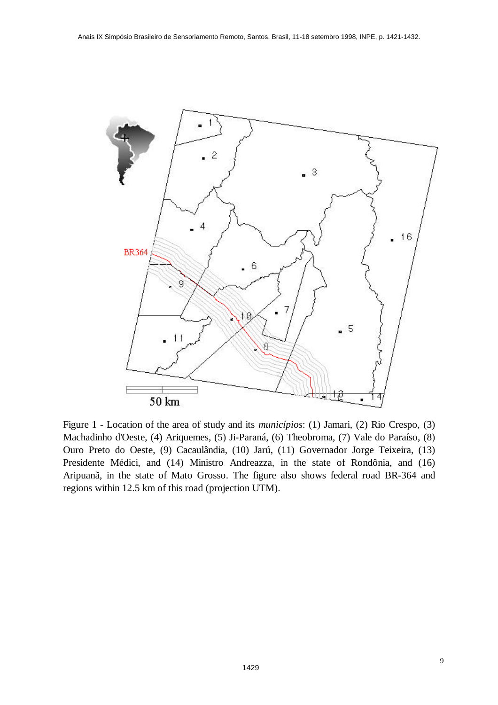<span id="page-8-0"></span>

Figure 1 - Location of the area of study and its *municípios*: (1) Jamari, (2) Rio Crespo, (3) Machadinho d'Oeste, (4) Ariquemes, (5) Ji-Paraná, (6) Theobroma, (7) Vale do Paraíso, (8) Ouro Preto do Oeste, (9) Cacaulândia, (10) Jarú, (11) Governador Jorge Teixeira, (13) Presidente Médici, and (14) Ministro Andreazza, in the state of Rondônia, and (16) Aripuanã, in the state of Mato Grosso. The figure also shows federal road BR-364 and regions within 12.5 km of this road (projection UTM).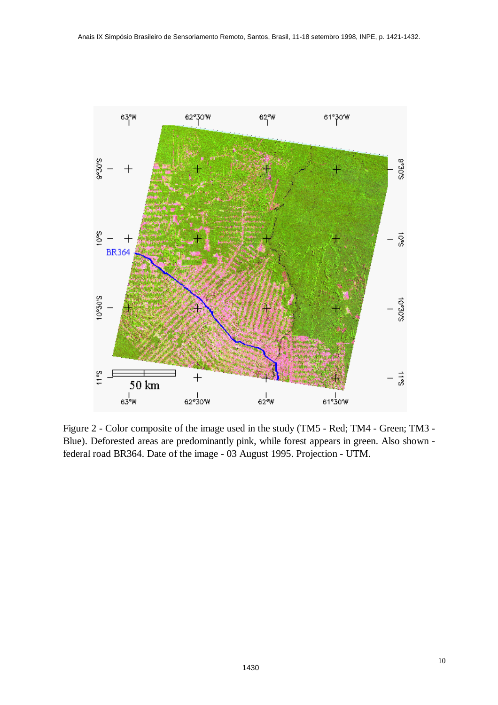<span id="page-9-0"></span>

Figure 2 - Color composite of the image used in the study (TM5 - Red; TM4 - Green; TM3 - Blue). Deforested areas are predominantly pink, while forest appears in green. Also shown federal road BR364. Date of the image - 03 August 1995. Projection - UTM.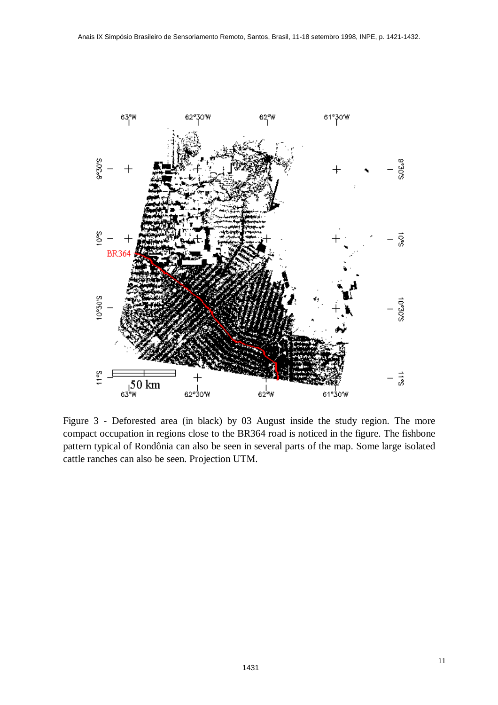<span id="page-10-0"></span>

Figure 3 - Deforested area (in black) by 03 August inside the study region. The more compact occupation in regions close to the BR364 road is noticed in the figure. The fishbone pattern typical of Rondônia can also be seen in several parts of the map. Some large isolated cattle ranches can also be seen. Projection UTM.